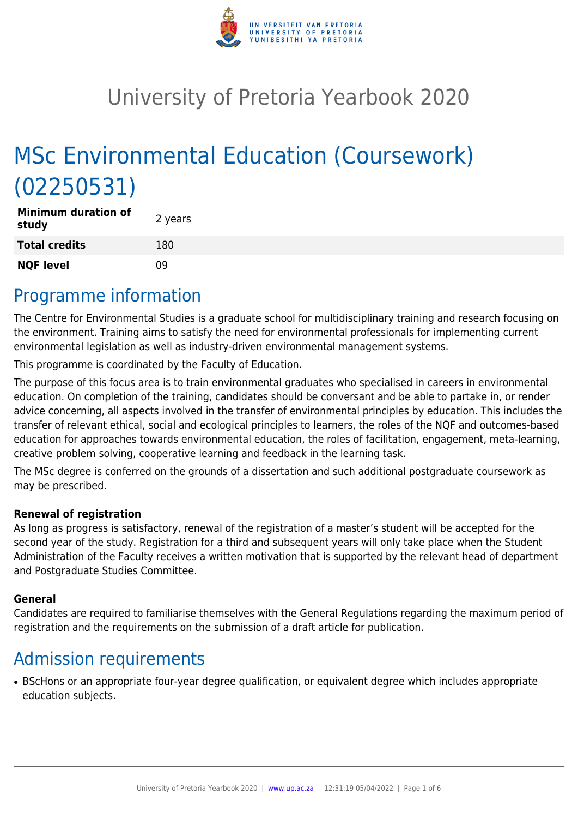

# University of Pretoria Yearbook 2020

# MSc Environmental Education (Coursework) (02250531)

| <b>Minimum duration of</b><br>study | 2 years |
|-------------------------------------|---------|
| <b>Total credits</b>                | 180     |
| <b>NQF level</b>                    | 09      |

### Programme information

The Centre for Environmental Studies is a graduate school for multidisciplinary training and research focusing on the environment. Training aims to satisfy the need for environmental professionals for implementing current environmental legislation as well as industry-driven environmental management systems.

This programme is coordinated by the Faculty of Education.

The purpose of this focus area is to train environmental graduates who specialised in careers in environmental education. On completion of the training, candidates should be conversant and be able to partake in, or render advice concerning, all aspects involved in the transfer of environmental principles by education. This includes the transfer of relevant ethical, social and ecological principles to learners, the roles of the NQF and outcomes-based education for approaches towards environmental education, the roles of facilitation, engagement, meta-learning, creative problem solving, cooperative learning and feedback in the learning task.

The MSc degree is conferred on the grounds of a dissertation and such additional postgraduate coursework as may be prescribed.

#### **Renewal of registration**

As long as progress is satisfactory, renewal of the registration of a master's student will be accepted for the second year of the study. Registration for a third and subsequent years will only take place when the Student Administration of the Faculty receives a written motivation that is supported by the relevant head of department and Postgraduate Studies Committee.

#### **General**

Candidates are required to familiarise themselves with the General Regulations regarding the maximum period of registration and the requirements on the submission of a draft article for publication.

### Admission requirements

• BScHons or an appropriate four-year degree qualification, or equivalent degree which includes appropriate education subjects.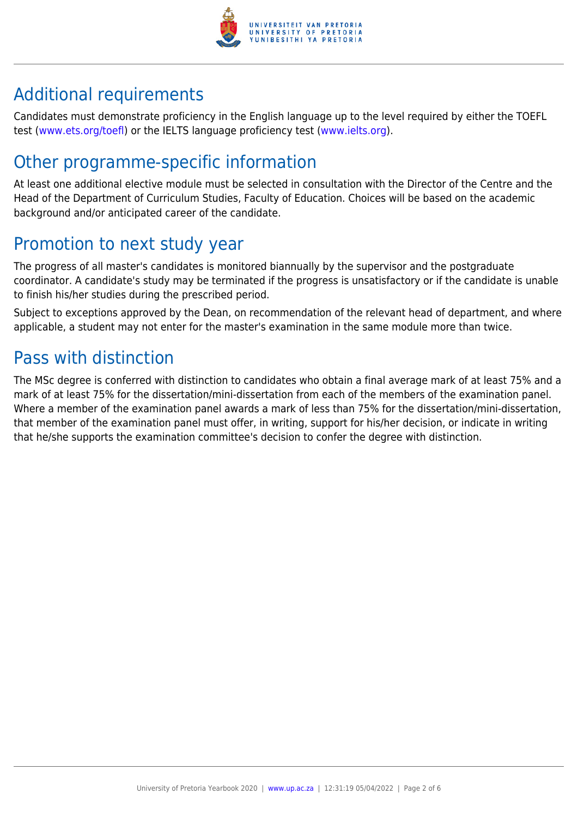

## Additional requirements

Candidates must demonstrate proficiency in the English language up to the level required by either the TOEFL test [\(www.ets.org/toefl\)](http://www.ets.org/toefl) or the IELTS language proficiency test ([www.ielts.org](http://www.ielts.org)).

## Other programme-specific information

At least one additional elective module must be selected in consultation with the Director of the Centre and the Head of the Department of Curriculum Studies, Faculty of Education. Choices will be based on the academic background and/or anticipated career of the candidate.

## Promotion to next study year

The progress of all master's candidates is monitored biannually by the supervisor and the postgraduate coordinator. A candidate's study may be terminated if the progress is unsatisfactory or if the candidate is unable to finish his/her studies during the prescribed period.

Subject to exceptions approved by the Dean, on recommendation of the relevant head of department, and where applicable, a student may not enter for the master's examination in the same module more than twice.

### Pass with distinction

The MSc degree is conferred with distinction to candidates who obtain a final average mark of at least 75% and a mark of at least 75% for the dissertation/mini-dissertation from each of the members of the examination panel. Where a member of the examination panel awards a mark of less than 75% for the dissertation/mini-dissertation, that member of the examination panel must offer, in writing, support for his/her decision, or indicate in writing that he/she supports the examination committee's decision to confer the degree with distinction.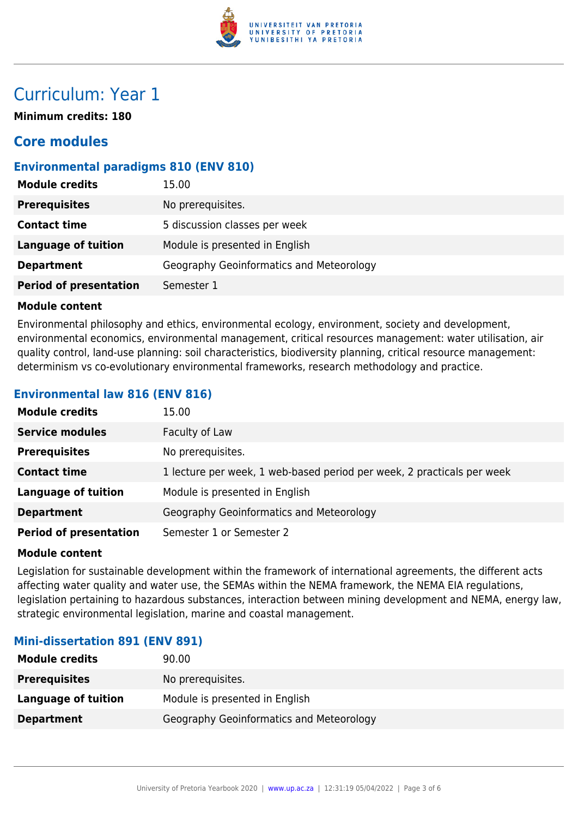

### Curriculum: Year 1

**Minimum credits: 180**

### **Core modules**

#### **Environmental paradigms 810 (ENV 810)**

| <b>Module credits</b><br>15.00              |                                          |
|---------------------------------------------|------------------------------------------|
| <b>Prerequisites</b><br>No prerequisites.   |                                          |
| <b>Contact time</b>                         | 5 discussion classes per week            |
| Language of tuition                         | Module is presented in English           |
| <b>Department</b>                           | Geography Geoinformatics and Meteorology |
| <b>Period of presentation</b><br>Semester 1 |                                          |

#### **Module content**

Environmental philosophy and ethics, environmental ecology, environment, society and development, environmental economics, environmental management, critical resources management: water utilisation, air quality control, land-use planning: soil characteristics, biodiversity planning, critical resource management: determinism vs co-evolutionary environmental frameworks, research methodology and practice.

#### **Environmental law 816 (ENV 816)**

| <b>Module credits</b>         | 15.00                                                                  |
|-------------------------------|------------------------------------------------------------------------|
| <b>Service modules</b>        | Faculty of Law                                                         |
| <b>Prerequisites</b>          | No prerequisites.                                                      |
| <b>Contact time</b>           | 1 lecture per week, 1 web-based period per week, 2 practicals per week |
| <b>Language of tuition</b>    | Module is presented in English                                         |
| <b>Department</b>             | Geography Geoinformatics and Meteorology                               |
| <b>Period of presentation</b> | Semester 1 or Semester 2                                               |

#### **Module content**

Legislation for sustainable development within the framework of international agreements, the different acts affecting water quality and water use, the SEMAs within the NEMA framework, the NEMA EIA regulations, legislation pertaining to hazardous substances, interaction between mining development and NEMA, energy law, strategic environmental legislation, marine and coastal management.

#### **Mini-dissertation 891 (ENV 891)**

| <b>Module credits</b> | 90.00                                    |
|-----------------------|------------------------------------------|
| <b>Prerequisites</b>  | No prerequisites.                        |
| Language of tuition   | Module is presented in English           |
| <b>Department</b>     | Geography Geoinformatics and Meteorology |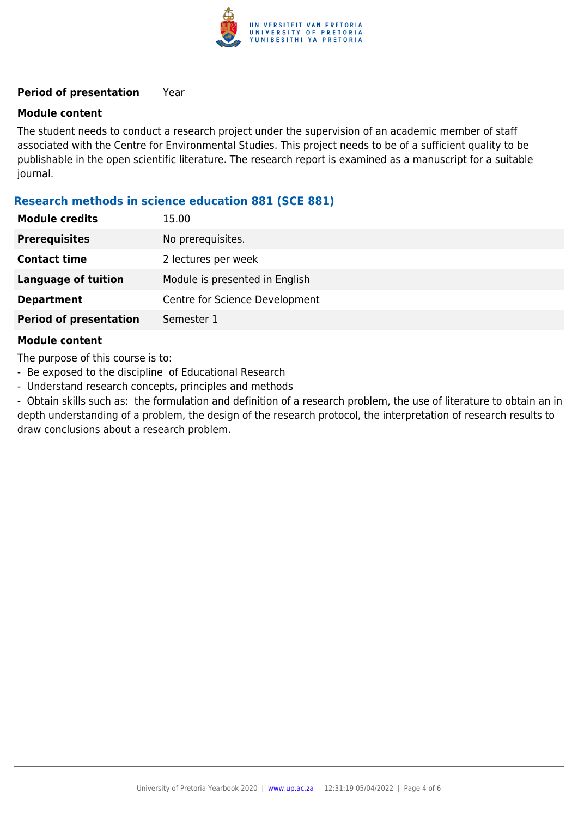

#### **Period of presentation** Year

#### **Module content**

The student needs to conduct a research project under the supervision of an academic member of staff associated with the Centre for Environmental Studies. This project needs to be of a sufficient quality to be publishable in the open scientific literature. The research report is examined as a manuscript for a suitable journal.

#### **Research methods in science education 881 (SCE 881)**

| <b>Module credits</b>         | 15.00                          |
|-------------------------------|--------------------------------|
| <b>Prerequisites</b>          | No prerequisites.              |
| <b>Contact time</b>           | 2 lectures per week            |
| <b>Language of tuition</b>    | Module is presented in English |
| <b>Department</b>             | Centre for Science Development |
| <b>Period of presentation</b> | Semester 1                     |
|                               |                                |

#### **Module content**

The purpose of this course is to:

- Be exposed to the discipline of Educational Research
- Understand research concepts, principles and methods

- Obtain skills such as: the formulation and definition of a research problem, the use of literature to obtain an in depth understanding of a problem, the design of the research protocol, the interpretation of research results to draw conclusions about a research problem.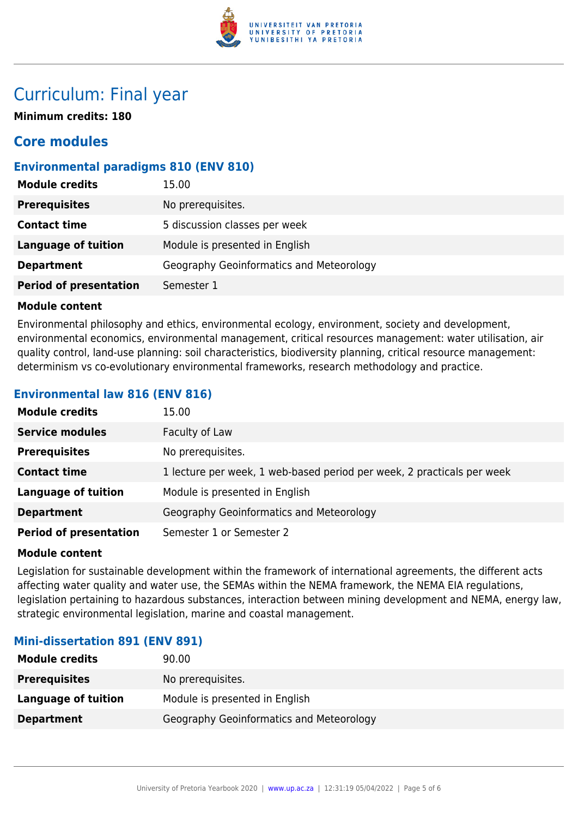

### Curriculum: Final year

**Minimum credits: 180**

### **Core modules**

#### **Environmental paradigms 810 (ENV 810)**

| <b>Module credits</b>         | 15.00                                    |
|-------------------------------|------------------------------------------|
| <b>Prerequisites</b>          | No prerequisites.                        |
| <b>Contact time</b>           | 5 discussion classes per week            |
| <b>Language of tuition</b>    | Module is presented in English           |
| <b>Department</b>             | Geography Geoinformatics and Meteorology |
| <b>Period of presentation</b> | Semester 1                               |

#### **Module content**

Environmental philosophy and ethics, environmental ecology, environment, society and development, environmental economics, environmental management, critical resources management: water utilisation, air quality control, land-use planning: soil characteristics, biodiversity planning, critical resource management: determinism vs co-evolutionary environmental frameworks, research methodology and practice.

#### **Environmental law 816 (ENV 816)**

| <b>Module credits</b>         | 15.00                                                                  |
|-------------------------------|------------------------------------------------------------------------|
| <b>Service modules</b>        | Faculty of Law                                                         |
| <b>Prerequisites</b>          | No prerequisites.                                                      |
| <b>Contact time</b>           | 1 lecture per week, 1 web-based period per week, 2 practicals per week |
| <b>Language of tuition</b>    | Module is presented in English                                         |
| <b>Department</b>             | Geography Geoinformatics and Meteorology                               |
| <b>Period of presentation</b> | Semester 1 or Semester 2                                               |

#### **Module content**

Legislation for sustainable development within the framework of international agreements, the different acts affecting water quality and water use, the SEMAs within the NEMA framework, the NEMA EIA regulations, legislation pertaining to hazardous substances, interaction between mining development and NEMA, energy law, strategic environmental legislation, marine and coastal management.

#### **Mini-dissertation 891 (ENV 891)**

| <b>Module credits</b> | 90.00                                    |
|-----------------------|------------------------------------------|
| <b>Prerequisites</b>  | No prerequisites.                        |
| Language of tuition   | Module is presented in English           |
| <b>Department</b>     | Geography Geoinformatics and Meteorology |